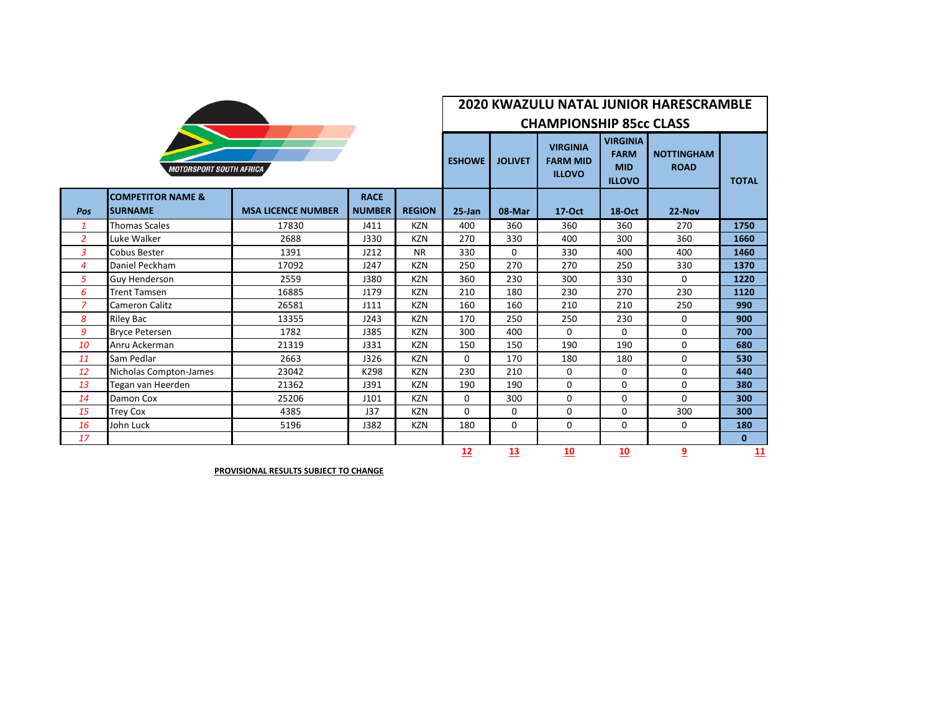|                                |                                                |                           |                              |               | <b>2020 KWAZULU NATAL JUNIOR HARESCRAMBLE</b><br><b>CHAMPIONSHIP 85cc CLASS</b> |                |                                                     |                                                               |                                  |              |  |
|--------------------------------|------------------------------------------------|---------------------------|------------------------------|---------------|---------------------------------------------------------------------------------|----------------|-----------------------------------------------------|---------------------------------------------------------------|----------------------------------|--------------|--|
| <b>MOTORSPORT SOUTH AFRICA</b> |                                                |                           |                              |               | <b>ESHOWE</b>                                                                   | <b>JOLIVET</b> | <b>VIRGINIA</b><br><b>FARM MID</b><br><b>ILLOVO</b> | <b>VIRGINIA</b><br><b>FARM</b><br><b>MID</b><br><b>ILLOVO</b> | <b>NOTTINGHAM</b><br><b>ROAD</b> | <b>TOTAL</b> |  |
| Pos                            | <b>COMPETITOR NAME &amp;</b><br><b>SURNAME</b> | <b>MSA LICENCE NUMBER</b> | <b>RACE</b><br><b>NUMBER</b> | <b>REGION</b> | $25$ -Jan                                                                       | 08-Mar         | $17-Oct$                                            | <b>18-Oct</b>                                                 | $22-Nov$                         |              |  |
| $\mathbf{1}$                   | <b>Thomas Scales</b>                           | 17830                     | J411                         | <b>KZN</b>    | 400                                                                             | 360            | 360                                                 | 360                                                           | 270                              | 1750         |  |
| $\overline{2}$                 | Luke Walker                                    | 2688                      | J330                         | <b>KZN</b>    | 270                                                                             | 330            | 400                                                 | 300                                                           | 360                              | 1660         |  |
| $\overline{3}$                 | Cobus Bester                                   | 1391                      | J212                         | <b>NR</b>     | 330                                                                             | 0              | 330                                                 | 400                                                           | 400                              | 1460         |  |
| 4                              | Daniel Peckham                                 | 17092                     | J247                         | <b>KZN</b>    | 250                                                                             | 270            | 270                                                 | 250                                                           | 330                              | 1370         |  |
| 5                              | Guy Henderson                                  | 2559                      | <b>J380</b>                  | <b>KZN</b>    | 360                                                                             | 230            | 300                                                 | 330                                                           | $\Omega$                         | 1220         |  |
| 6                              | <b>Trent Tamsen</b>                            | 16885                     | J179                         | <b>KZN</b>    | 210                                                                             | 180            | 230                                                 | 270                                                           | 230                              | 1120         |  |
| $\overline{7}$                 | <b>Cameron Calitz</b>                          | 26581                     | J111                         | <b>KZN</b>    | 160                                                                             | 160            | 210                                                 | 210                                                           | 250                              | 990          |  |
| 8                              | <b>Riley Bac</b>                               | 13355                     | J243                         | <b>KZN</b>    | 170                                                                             | 250            | 250                                                 | 230                                                           | 0                                | 900          |  |
| 9                              | <b>Bryce Petersen</b>                          | 1782                      | J385                         | <b>KZN</b>    | 300                                                                             | 400            | $\Omega$                                            | $\Omega$                                                      | $\Omega$                         | 700          |  |
| 10                             | Anru Ackerman                                  | 21319                     | J331                         | <b>KZN</b>    | 150                                                                             | 150            | 190                                                 | 190                                                           | $\mathbf 0$                      | 680          |  |
| 11                             | Sam Pedlar                                     | 2663                      | J326                         | <b>KZN</b>    | $\Omega$                                                                        | 170            | 180                                                 | 180                                                           | $\Omega$                         | 530          |  |
| 12                             | Nicholas Compton-James                         | 23042                     | K298                         | <b>KZN</b>    | 230                                                                             | 210            | 0                                                   | 0                                                             | 0                                | 440          |  |
| 13                             | Tegan van Heerden                              | 21362                     | J391                         | <b>KZN</b>    | 190                                                                             | 190            | 0                                                   | $\Omega$                                                      | 0                                | 380          |  |
| 14                             | Damon Cox                                      | 25206                     | J101                         | <b>KZN</b>    | 0                                                                               | 300            | $\Omega$                                            | $\Omega$                                                      | 0                                | 300          |  |
| 15                             | <b>Trey Cox</b>                                | 4385                      | J37                          | <b>KZN</b>    | 0                                                                               | 0              | 0                                                   | 0                                                             | 300                              | 300          |  |
| 16                             | John Luck                                      | 5196                      | J382                         | <b>KZN</b>    | 180                                                                             | 0              | $\Omega$                                            | 0                                                             | $\Omega$                         | 180          |  |
| 17                             |                                                |                           |                              |               |                                                                                 |                |                                                     |                                                               |                                  | $\mathbf{0}$ |  |
|                                |                                                |                           |                              |               | 12                                                                              | 13             | 10                                                  | 10                                                            | 9                                | 11           |  |

**PROVISIONAL RESULTS SUBJECT TO CHANGE**